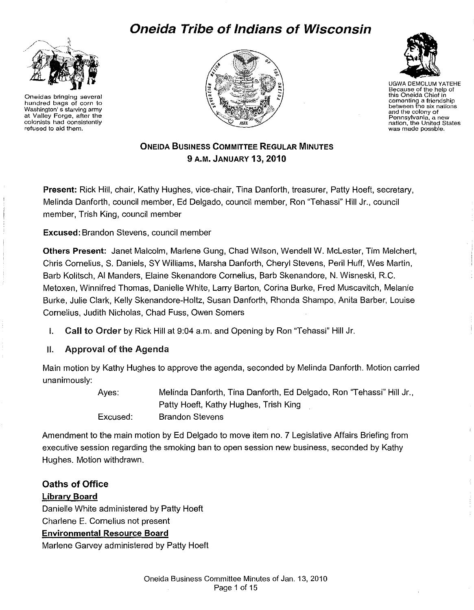# **Oneida Tribe of Indians of Wisconsin**



Oneidas bringing several hundred bags of corn to Washington' s starving army at Valley Forge, after the colonists had consistently refused to aid them.





UGWA DEMOLUM YATEHE Because of the help of this Oneida Chief in cementing a friendship between the six nations and the colony of<br>Pennsylvania, a new nation, the United States was made possble.

# ONEIDA BUSINESS COMMITTEE REGULAR MINUTES 9 A.M. JANUARY 13,2010

Present: Rick Hill, chair, Kathy Hughes, vice-chair, Tina Danforth, treasurer, Patty Hoeft, secretary, Melinda Danforth, council member, Ed Delgado, council member, Ron "Tehassi" Hill Jr., council member, Trish King, council member

Excused: Brandon Stevens, council member

Others Present: Janet Malcolm, Marlene Gung, Chad Wilson, Wendell W. Mclester, Tim Melchert, Chris Cornelius, S. Daniels, SY Williams, Marsha Danforth, Cheryl Stevens, Peril Huff, Wes Martin, Barb Kolitsch, AI Manders, Elaine Skenandore Cornelius, Barb Skenandore, N. Wisneski, R.C. Metoxen, Winnifred Thomas, Danielle White, Larry Barton, Carina Burke, Fred Muscavitch, Melanie Burke, Julie Clark, Kelly Skenandore-Holtz, Susan Danforth, Rhonda Shampo, Anita Barber, Louise Cornelius, Judith Nicholas, Chad Fuss, Owen Somers

I. Call to Order by Rick Hill at 9:04a.m. and Opening by Ron "Tehassi" Hill Jr.

### 11. Approval of the Agenda

Main motion by Kathy Hughes to approve the agenda, seconded by Melinda Danforth. Motion carried unanimously:

> Ayes: Excused: Melinda Danforth, Tina Danforth, Ed Delgado, Ron ''Tehassi" Hill Jr., Patty Hoeft, Kathy Hughes, Trish King Brandon Stevens

Amendment to the main motion by Ed Delgado to move item no. 7 Legislative Affairs Briefing from executive session regarding the smoking ban to open session new business, seconded by Kathy Hughes. Motion withdrawn.

### Oaths of Office

### Librarv Board

Danielle White administered by Patty Hoeft Charlene E. Cornelius not present Environmental Resource Board Marlene Garvey administered by Patty Hoeft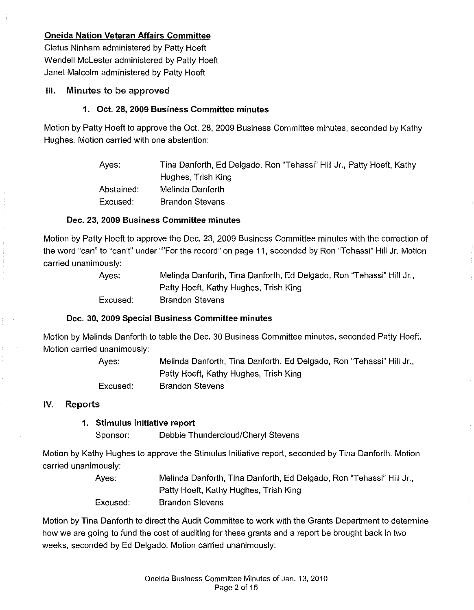### **Oneida Nation Veteran Affairs Committee**

Cletus Ninham administered by Patty Hoeft Wendell Mclester administered by Patty Hoeft Janet Malcolm administered by Patty Hoeft

### Ill. Minutes to be approved

### **1. Oct. 28, 2009 Business Committee minutes**

Motion by Patty Hoeft to approve the Oct. 28, 2009 Business Committee minutes, seconded by Kathy Hughes. Motion carried with one abstention:

| Aves:      | Tina Danforth, Ed Delgado, Ron "Tehassi" Hill Jr., Patty Hoeft, Kathy |
|------------|-----------------------------------------------------------------------|
|            | Hughes, Trish King                                                    |
| Abstained: | Melinda Danforth                                                      |
| Excused:   | <b>Brandon Stevens</b>                                                |

### **Dec. 23, 2009 Business Committee minutes**

Motion by Patty Hoeft to approve the Dec. 23, 2009 Business Committee minutes with the correction of the word "can" to "can't" under ""For the record" on page 11, seconded by Ron "Tehassi" Hill Jr. Motion carried unanimously:

| Ayes:    | Melinda Danforth, Tina Danforth, Ed Delgado, Ron "Tehassi" Hill Jr., |
|----------|----------------------------------------------------------------------|
|          | Patty Hoeft, Kathy Hughes, Trish King                                |
| Excused: | <b>Brandon Stevens</b>                                               |

### **Dec. 30, 2009 Special Business Committee minutes**

Motion by Melinda Danforth to table the Dec. 30 Business Committee minutes, seconded Patty Hoeft. Motion carried unanimously:

> Ayes: Excused: Melinda Danforth, Tina Danforth, Ed Delgado, Ron "Tehassi" Hill Jr., Patty Hoeft, Kathy Hughes, Trish King Brandon Stevens

### IV. Reports

### **1. Stimulus Initiative report**

Sponsor: Debbie Thundercloud/Cheryl Stevens

Motion by Kathy Hughes to approve the Stimulus Initiative report, seconded by Tina Danforth. Motion carried unanimously:

> Ayes: Excused: Melinda Danforth, Tina Danforth, Ed Delgado, Ron "Tehassi" Hill Jr., Patty Hoeft, Kathy Hughes, Trish King Brandon Stevens

Motion by Tina Danforth to direct the Audit Committee to work with the Grants Department to determine how we are going to fund the cost of auditing for these grants and a report be brought back in two weeks, seconded by Ed Delgado. Motion carried unanimously: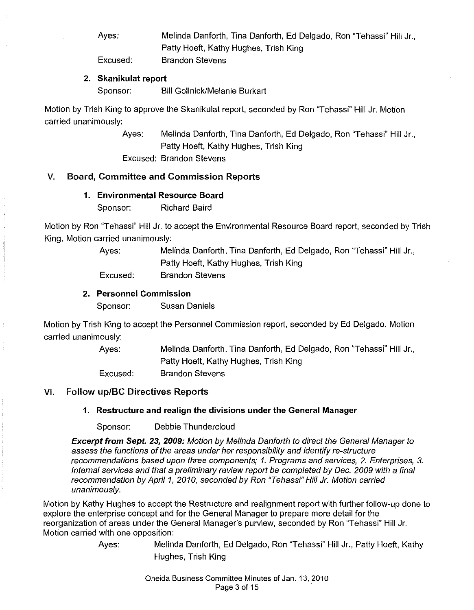Ayes: Melinda Danforth, Tina Danforth, Ed Delgado, Ron "Tehassi" Hill Jr., Patty Hoeft, Kathy Hughes, Trish King

Excused:

#### **2. Skanikulat report**

Sponsor: Bill Gollnick/Melanie Burkart

Brandon Stevens

Motion by Trish King to approve the Skanikulat report, seconded by Ron "Tehassi" Hill Jr. Motion carried unanimously:

> Ayes: Melinda Danforth, Tina Danforth, Ed Delgado, Ron "Tehassi" Hill Jr., Patty Hoeft, Kathy Hughes, Trish King

Excused: Brandon Stevens

### V. Board, Committee and Commission Reports

#### **1. Environmental Resource Board**

Sponsor: Richard Baird

Motion by Ron 'Tehassi" Hill Jr. to accept the Environmental Resource Board report, seconded by Trish King. Motion carried unanimously:

> Ayes: Melinda Danforth, Tina Danforth, Ed Delgado, Ron ''Tehassi" Hill Jr., Patty Hoeft, Kathy Hughes, Trish King Excused: Brandon Stevens

#### **2. Personnel Commission**

Sponsor: Susan Daniels

Motion by Trish King to accept the Personnel Commission report, seconded by Ed Delgado. Motion carried unanimously:

> Ayes: Excused: Melinda Danforth, Tina Danforth, Ed Delgado, Ron "Tehassi" Hill Jr., Patty Hoeft, Kathy Hughes, Trish King Brandon Stevens

### VI. Follow up/BC Directives Reports

### **1. Restructure and realign the divisions under the General Manager**

Sponsor: Debbie Thundercloud

**Excerpt from Sept. 23, 2009:** Motion by Melinda Danforth to direct the General Manager to assess the functions of the areas under her responsibility and identify re-structure recommendations based upon three components; 1. Programs and services, 2. Enterprises, 3. Internal services and that a preliminary review report be completed by Dec. 2009 with a final recommendation by April 1, 2010, seconded by Ron "Tehassi" Hill Jr. Motion carried unanimously.

Motion by Kathy Hughes to accept the Restructure and realignment report with further follow-up done to explore the enterprise concept and for the General Manager to prepare more detail for the reorganization of areas under the General Manager's purview, seconded by Ron "Tehassi" Hill Jr. Motion carried with one opposition:

Ayes: Melinda Danforth, Ed Delgado, Ron "Tehassi" Hill Jr., Patty Hoeft, Kathy Hughes, Trish King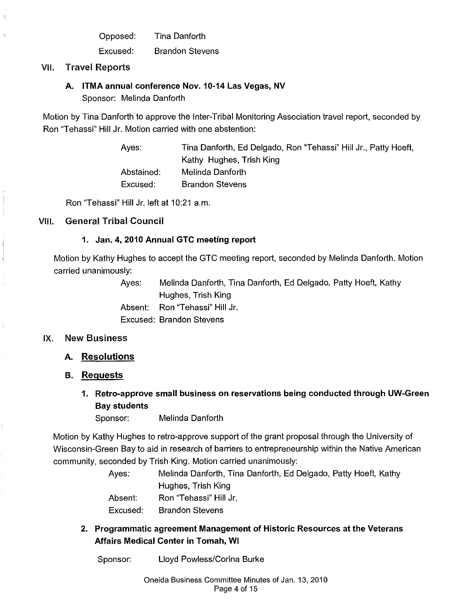Opposed: Tina Danforth

Excused: Brandon Stevens

VII. Travel Reports

### A. ITMA annual conference Nov. 10-14 Las Vegas, NV

Sponsor: Melinda Danforth

Motion by Tina Danforth to approve the Inter-Tribal Monitoring Association travel report, seconded by Ron "Tehassi" Hill Jr. Motion carried with one abstention:

> Ayes: Tina Danforth, Ed Delgado, Ron "Tehassi" Hill Jr., Patty Hoeft, Kathy Hughes, Trish King Abstained: Melinda Danforth Excused: Brandon Stevens

Ron "Tehassi" Hill Jr. left at 10:21 a.m.

### VIII. General Tribal Council

### 1. Jan. 4, 2010 Annual GTC meeting report

Motion by Kathy Hughes to accept the GTC meeting report, seconded by Melinda Danforth. Motion carried unanimously:

> Ayes: Melinda Danforth, Tina Danforth, Ed Delgado, Patty Hoeft, Kathy Hughes, Trish King Absent: Ron "Tehassi" Hill Jr. Excused: Brandon Stevens

#### IX. New Business

### A. Resolutions

#### B. Requests

1. Retro-approve small business on reservations being conducted through UW-Green Bay students

Sponsor: Melinda Danforth

Motion by Kathy Hughes to retro-approve support of the grant proposal through the University of Wisconsin-Green Bay to aid in research of barriers to entrepreneurship within the Native American community, seconded by Trish King. Motion carried unanimously:

| Ayes:    | Melinda Danforth, Tina Danforth, Ed Delgado, Patty Hoeft, Kathy |
|----------|-----------------------------------------------------------------|
|          | Hughes, Trish King                                              |
| Absent.  | Ron "Tehassi" Hill Jr.                                          |
| Excused: | <b>Brandon Stevens</b>                                          |

- 2. Programmatic agreement Management of Historic Resources at the Veterans Affairs Medical Center in Tomah, WI
	- Sponsor: Lloyd Powless/Corina Burke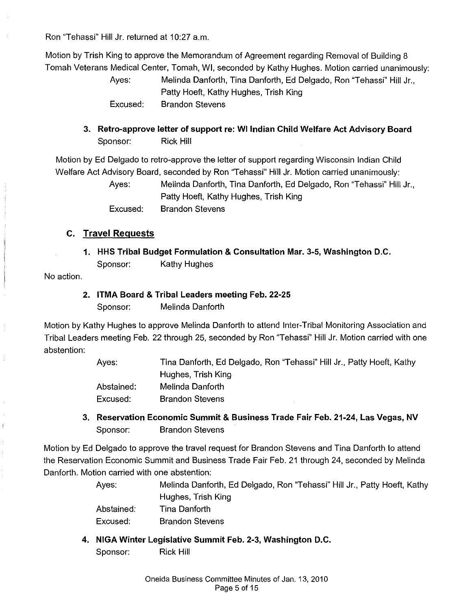Ron "Tehassi" Hill Jr. returned at 10:27 a.m.

Motion by Trish King to approve the Memorandum of Agreement regarding Removal of Building 8 Tomah Veterans Medical Center, Tomah, WI, seconded by Kathy Hughes. Motion carried unanimously:

> Ayes: Melinda Danforth, Tina Danforth, Ed Delgado, Ron "Tehassi" Hill Jr., Patty Hoeft, Kathy Hughes, Trish King Excused: Brandon Stevens

**3. Retro-approve letter of support re: WI Indian Child Welfare Act Advisory Board**  Sponsor: Rick Hill

Motion by Ed Delgado to retro-approve the letter of support regarding Wisconsin Indian Child Welfare Act Advisory Board, seconded by Ron 'Tehassi" Hill Jr. Motion carried unanimously:

> Ayes: Melinda Danforth, Tina Danforth, Ed Delgado, Ron "Tehassi" Hill Jr., Patty Hoeft, Kathy Hughes, Trish King Excused: Brandon Stevens

### **c. Travel Requests**

**1. HHS Tribal Budget Formulation & Consultation Mar.** 3-5, **Washington D.C.**  Sponsor: Kathy Hughes

No action.

**2. ITMA Board & Tribal Leaders meeting Feb. 22-25**  Sponsor: Melinda Danforth

Motion by Kathy Hughes to approve Melinda Danforth to attend Inter-Tribal Monitoring Association and Tribal Leaders meeting Feb. 22 through 25, seconded by Ron "Tehassi" Hill Jr. Motion carried with one abstention:

> Ayes: Abstained: Excused: Tina Danforth, Ed Delgado, Ron "Tehassi" Hill Jr., Patty Hoeft, Kathy Hughes, Trish King Melinda Danforth Brandon Stevens

**3. Reservation Economic Summit & Business Trade Fair Feb. 21-24, Las Vegas, NV**  Sponsor: Brandon Stevens

Motion by Ed Delgado to approve the travel request for Brandon Stevens and Tina Danforth to attend the Reservation Economic Summit and Business Trade Fair Feb. 21 through 24, seconded by Melinda Danforth. Motion carried with one abstention:

> Ayes: Melinda Danforth, Ed Delgado, Ron "Tehassi" Hill Jr., Patty Hoeft, Kathy Hughes, Trish King Abstained: Tina Danforth

Excused: Brandon Stevens

**4. NIGA Winter Legislative Summit Feb. 2-3, Washington D.C.** 

Sponsor: Rick Hill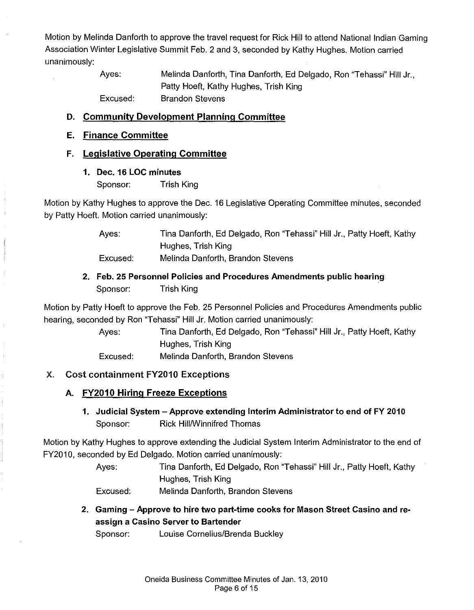Motion by Melinda Danforth to approve the travel request for Rick Hill to attend National Indian Gaming Association Winter Legislative Summit Feb. 2 and 3, seconded by Kathy Hughes. Motion carried unanimously:

> Ayes: Excused: Melinda Danforth, Tina Danforth, Ed Delgado, Ron "Tehassi" Hill Jr., Patty Hoeft, Kathy Hughes, Trish King Brandon Stevens

### D. Community Development Planning Committee

### E. Finance Committee

#### F. Legislative Operating Committee

1. Dec. 16 LOC minutes

Sponsor: Trish King

Motion by Kathy Hughes to approve the Dec. 16 Legislative Operating Committee minutes, seconded by Patty Hoeft. Motion carried unanimously:

> Ayes: Tina Danforth, Ed Delgado, Ron "Tehassi" Hill Jr., Patty Hoeft, Kathy Hughes, Trish King

Excused: Melinda Danforth, Brandon Stevens

## 2. Feb. 25 Personnel Policies and Procedures Amendments public hearing Sponsor: Trish King

Motion by Patty Hoeft to approve the Feb. 25 Personnel Policies and Procedures Amendments public hearing, seconded by Ron "Tehassi" Hill Jr. Motion carried unanimously:

> Ayes: Tina Danforth, Ed Delgado, Ron "Tehassi" Hill Jr., Patty Hoeft, Kathy Hughes, Trish King

Excused: Melinda Danforth, Brandon Stevens

### X. Cost containment FY2010 Exceptions

### A. FY2010 Hiring Freeze Exceptions

1. Judicial System -Approve extending Interim Administrator to end of FY 2010 Sponsor: Rick Hill/Winnifred Thomas

Motion by Kathy Hughes to approve extending the Judicial System Interim Administrator to the end of FY2010, seconded by Ed Delgado. Motion carried unanimously:

> Ayes: Tina Danforth, Ed Delgado, Ron "Tehassi" Hill Jr., Patty Hoeft, Kathy Hughes, Trish King

Excused: Melinda Danforth, Brandon Stevens

2. Gaming - Approve to hire two part-time cooks for Mason Street Casino and reassign a Casino Server to Bartender

Sponsor: Louise Cornelius/Brenda Buckley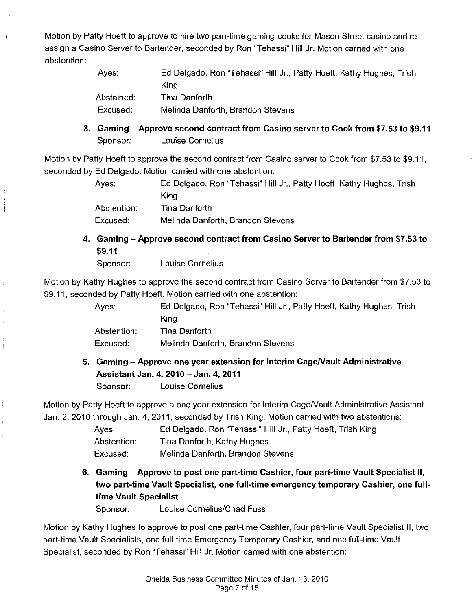Motion by Patty Hoeft to approve to hire two part-time gaming cooks for Mason Street casino and reassign a Casino Server to Bartender, seconded by Ron "Tehassi" Hill Jr. Motion carried with one abstention:

| Ayes:      | Ed Delgado, Ron "Tehassi" Hill Jr., Patty Hoeft, Kathy Hughes, Trish |
|------------|----------------------------------------------------------------------|
|            | Kina                                                                 |
| Abstained: | Tina Danforth                                                        |
| Excused:   | Melinda Danforth, Brandon Stevens                                    |
|            |                                                                      |

3. Gaming – Approve second contract from Casino server to Cook from \$7.53 to \$9.11 Sponsor: Louise Cornelius

Motion by Patty Hoeft to approve the second contract from Casino server to Cook from \$7.53 to \$9.11, seconded by Ed Delgado. Motion carried with one abstention:

> Ayes: Ed Delgado, Ron "Tehassi" Hill Jr., Patty Hoeft, Kathy Hughes, Trish King Abstention: Tina Danforth

Excused: Melinda Danforth, Brandon Stevens

4. Gaming- Approve second contract from Casino Server to Bartender from \$7.53 to \$9.11

Sponsor: Louise Cornelius

Motion by Kathy Hughes to approve the second contract from Casino Server to Bartender from \$7.53 to \$9.11, seconded by Patty Hoeft. Motion carried with one abstention:

> Ayes: Ed Delgado, Ron "Tehassi" Hill Jr., Patty Hoeft, Kathy Hughes, Trish King Abstention: Tina Danforth Excused: Melinda Danforth, Brandon Stevens

5. Gaming -Approve one year extension for Interim Cage/Vault Administrative Assistant Jan. 4, 2010- Jan. 4, 2011 Sponsor: Louise Cornelius

Motion by Patty Hoeft to approve a one year extension for Interim Cage/Vault Administrative Assistant Jan. 2, 2010 through Jan. 4, 2011, seconded by Trish King. Motion carried with two abstentions:

> Ayes: Abstention: Excused: Ed Delgado, Ron "Tehassi" Hill Jr., Patty Hoeft, Trish King Tina Danforth, Kathy Hughes Melinda Danforth, Brandon Stevens

6. Gaming -Approve to post one part-time Cashier, four part-time Vault Specialist II, two part-time Vault Specialist, one full-time emergency temporary Cashier, one fulltime Vault Specialist

Sponsor: Louise Cornelius/Chad Fuss

Motion by Kathy Hughes to approve to post one part-time Cashier, four part-time Vault Specialist II, two part-time Vault Specialists, one full-time Emergency Temporary Cashier, and one full-time Vault Specialist, seconded by Ron "Tehassi" Hill Jr. Motion carried with one abstention: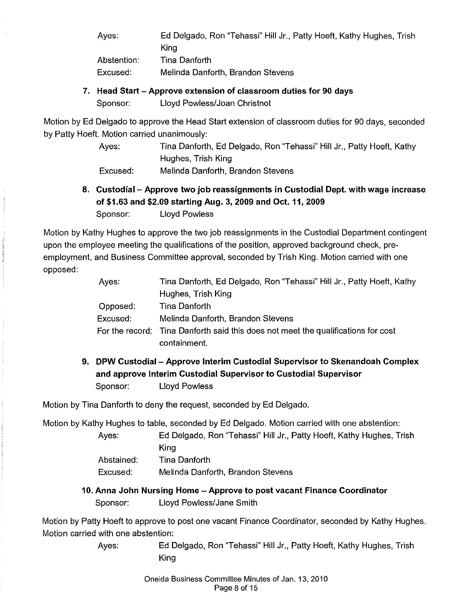Ayes: Ed Delgado, Ron "Tehassi" Hill Jr., Patty Hoeft, Kathy Hughes, Trish King

Abstention: Excused: Tina Danforth Melinda Danforth, Brandon Stevens

7. Head Start - Approve extension of classroom duties for 90 days Sponsor: Lloyd Powless/Joan Christnot

Motion by Ed Delgado to approve the Head Start extension of classroom duties for 90 days, seconded by Patty Hoeft. Motion carried unanimously:

> Ayes: Tina Danforth, Ed Delgado, Ron "Tehassi" Hill Jr., Patty Hoeft, Kathy Hughes, Trish King

Excused: Melinda Danforth, Brandon Stevens

8. Custodial - Approve two job reassignments in Custodial Dept. with wage increase of \$1.63 and \$2.09 starting Aug. 3, 2009 and Oct. 11, 2009 Sponsor: Lloyd Powless

Motion by Kathy Hughes to approve the two job reassignments in the Custodial Department contingent upon the employee meeting the qualifications of the position, approved background check, preemployment, and Business Committee approval, seconded by Trish King. Motion carried with one opposed:

| Ayes.    | Tina Danforth, Ed Delgado, Ron "Tehassi" Hill Jr., Patty Hoeft, Kathy             |
|----------|-----------------------------------------------------------------------------------|
|          | Hughes, Trish King                                                                |
| Opposed: | Tina Danforth                                                                     |
| Excused: | Melinda Danforth, Brandon Stevens                                                 |
|          | For the record: Tina Danforth said this does not meet the qualifications for cost |
|          | containment.                                                                      |

9. DPW Custodial - Approve Interim Custodial Supervisor to Skenandoah Complex and approve Interim Custodial Supervisor to Custodial Supervisor Sponsor: Lloyd Powless

Motion by Tina Danforth to deny the request, seconded by Ed Delgado.

Motion by Kathy Hughes to table, seconded by Ed Delgado. Motion carried with one abstention:

Ayes: Ed Delgado, Ron "Tehassi" Hill Jr., Patty Hoeft, Kathy Hughes, Trish King Abstained: Tina Danforth Excused: Melinda Danforth, Brandon Stevens

10. Anna John Nursing Home- Approve to post vacant Finance Coordinator Sponsor: Lloyd Powless/Jane Smith

Motion by Patty Hoeft to approve to post one vacant Finance Coordinator, seconded by Kathy Hughes. Motion carried with one abstention:

> Ayes: Ed Delgado, Ron "Tehassi" Hill Jr., Patty Hoeft, Kathy Hughes, Trish King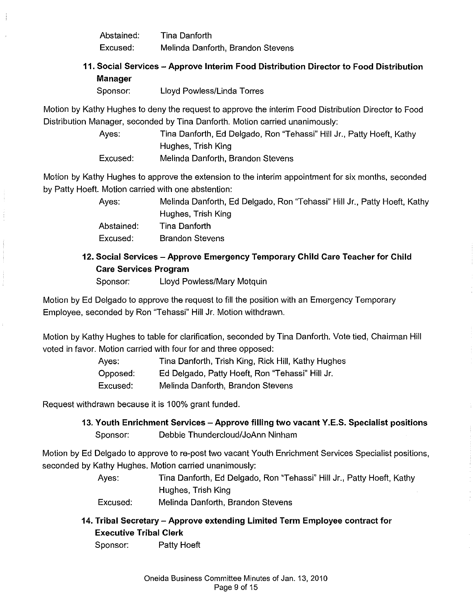Abstained: Tina Danforth Excused: Melinda Danforth, Brandon Stevens

# **11. Social Services -Approve Interim Food Distribution Director to Food Distribution Manager**

Sponsor: Lloyd Powless/Linda Torres

Motion by Kathy Hughes to deny the request to approve the interim Food Distribution Director to Food Distribution Manager, seconded by Tina Danforth. Motion carried unanimously:

> Ayes: Tina Danforth, Ed Delgado, Ron "Tehassi" Hill Jr., Patty Hoeft, Kathy Hughes, Trish King

Excused: Melinda Danforth, Brandon Stevens

Motion by Kathy Hughes to approve the extension to the interim appointment for six months, seconded by Patty Hoeft. Motion carried with one abstention:

> Ayes: Melinda Danforth, Ed Delgado, Ron "Tehassi" Hill Jr., Patty Hoeft, Kathy Hughes, Trish King

Abstained: Excused: Tina Danforth Brandon Stevens

# **12. Social Services- Approve Emergency Temporary Child Care Teacher for Child Care Services Program**

Sponsor: Lloyd Powless/Mary Motquin

Motion by Ed Delgado to approve the request to fill the position with an Emergency Temporary Employee, seconded by Ron "Tehassi" Hill Jr. Motion withdrawn.

Motion by Kathy Hughes to table for clarification, seconded by Tina Danforth. Vote tied, Chairman Hill voted in favor. Motion carried with four for and three opposed:

> Ayes: Tina Danforth, Trish King, Rick Hill, Kathy Hughes Opposed: Ed Delgado, Patty Hoeft, Ron "Tehassi" Hill Jr. Excused: Melinda Danforth, Brandon Stevens

Request withdrawn because it is 100% grant funded.

**13. Youth Enrichment Services- Approve filling two vacant Y.E.S. Specialist positions**  Sponsor: Debbie Thundercloud/JoAnn Ninham

Motion by Ed Delgado to approve tore-post two vacant Youth Enrichment Services Specialist positions, seconded by Kathy Hughes. Motion carried unanimously:

> Ayes: Tina Danforth, Ed Delgado, Ron "Tehassi" Hill Jr., Patty Hoeft, Kathy Hughes, Trish King

Excused: Melinda Danforth, Brandon Stevens

**14. Tribal Secretary- Approve extending Limited Term Employee contract for Executive Tribal Clerk** 

Sponsor: Patty Hoeft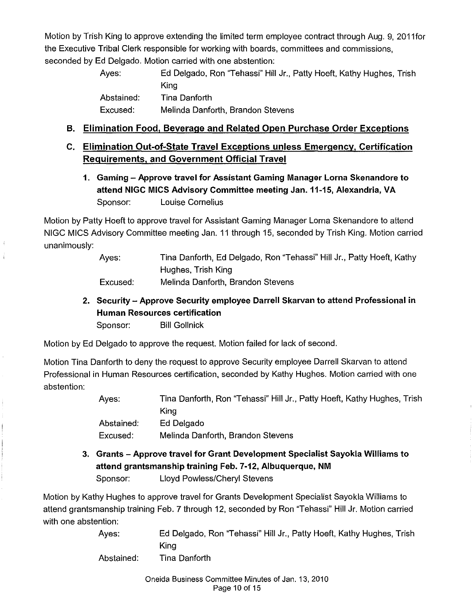Motion by Trish King to approve extending the limited term employee contract through Aug. 9, 2011for the Executive Tribal Clerk responsible for working with boards, committees and commissions, seconded by Ed Delgado. Motion carried with one abstention:

> Ayes: Ed Delgado, Ron 'Tehassi" Hill Jr., Patty Hoeft, Kathy Hughes, Trish King Abstained: Tina Danforth Excused: Melinda Danforth, Brandon Stevens

### **B. Elimination Food, Beverage and Related Open Purchase Order Exceptions**

# **C. Elimination Out-of-State Travel Exceptions unless Emergency, Certification Requirements, and Government Official Travel**

**1. Gaming - Approve travel for Assistant Gaming Manager Lorna Skenandore to attend NIGC MICS Advisory Committee meeting Jan.11-15, Alexandria, VA**  Sponsor: Louise Cornelius

Motion by Patty Hoeft to approve travel for Assistant Gaming Manager Lorna Skenandore to attend NIGC MICS Advisory Committee meeting Jan. 11 through 15, seconded by Trish King. Motion carried unanimously:

> Ayes: Tina Danforth, Ed Delgado, Ron "Tehassi" Hill Jr., Patty Hoeft, Kathy Hughes, Trish King

- Excused: Melinda Danforth, Brandon Stevens
- **2. Security- Approve Security employee Darrell Skarvan to attend Professional in Human Resources certification**  Sponsor: Bill Gollnick

Motion by Ed Delgado to approve the request. Motion failed for lack of second.

Motion Tina Danforth to deny the request to approve Security employee Darrell Skarvan to attend Professional in Human Resources certification, seconded by Kathy Hughes. Motion carried with one abstention:

| Ayes:      | Tina Danforth, Ron "Tehassi" Hill Jr., Patty Hoeft, Kathy Hughes, Trish |
|------------|-------------------------------------------------------------------------|
|            | Kina                                                                    |
| Abstained: | Ed Delgado                                                              |
| Excused:   | Melinda Danforth, Brandon Stevens                                       |

**3. Grants -Approve travel for Grant Development Specialist Sayokla Williams to attend grantsmanship training Feb. 7-12, Albuquerque, NM**  Sponsor: Lloyd Powless/Cheryl Stevens

Motion by Kathy Hughes to approve travel for Grants Development Specialist Sayokla Williams to attend grantsmanship training Feb. 7 through 12, seconded by Ron "Tehassi" Hill Jr. Motion carried with one abstention:

| Ayes:      | Ed Delgado, Ron "Tehassi" Hill Jr., Patty Hoeft, Kathy Hughes, Trish |
|------------|----------------------------------------------------------------------|
|            | Kina                                                                 |
| Abstained: | Tina Danforth                                                        |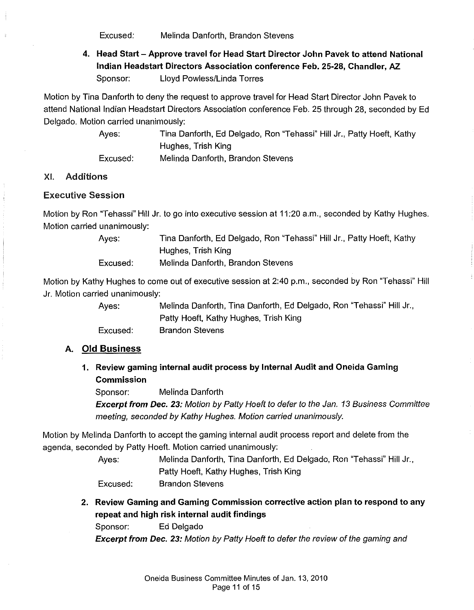Excused: Melinda Danforth, Brandon Stevens

# **4. Head Start- Approve travel for Head Start Director John Pavek to attend National Indian Headstart Directors Association conference Feb. 25-28, Chandler, AZ.**  Sponsor: Lloyd Powless/Linda Torres

Motion by Tina Danforth to deny the request to approve travel for Head Start Director John Pavek to attend National Indian Headstart Directors Association conference Feb. 25 through 28, seconded by Ed Delgado. Motion carried unanimously:

> Ayes: Tina Danforth, Ed Delgado, Ron "Tehassi" Hill Jr., Patty Hoeft, Kathy Hughes, Trish King

Excused: Melinda Danforth, Brandon Stevens

### XI. Additions

#### Executive Session

Motion by Ron "Tehassi" Hill Jr. to go into executive session at 11:20 a.m., seconded by Kathy Hughes. Motion carried unanimously:

> Ayes: Tina Danforth, Ed Delgado, Ron "Tehassi" Hill Jr., Patty Hoeft, Kathy Hughes, Trish King

Excused: Melinda Danforth, Brandon Stevens

Motion by Kathy Hughes to come out of executive session at 2:40 p.m., seconded by Ron "Tehassi" Hill Jr. Motion carried unanimously:

> Ayes: Melinda Danforth, Tina Danforth, Ed Delgado, Ron "Tehassi" Hill Jr., Patty Hoeft, Kathy Hughes, Trish King Excused: Brandon Stevens

#### **A. Old Business**

### **1. Review gaming internal audit process by Internal Audit and Oneida Gaming Commission**

Sponsor: Melinda Danforth

**Excerpt from Dec. 23:** Motion by Patty Hoeft to defer to the Jan. 13 Business Committee meeting, seconded by Kathy Hughes. Motion carried unanimously.

Motion by Melinda Danforth to accept the gaming internal audit process report and delete from the agenda, seconded by Patty Hoeft. Motion carried unanimously:

> Ayes: Melinda Danforth, Tina Danforth, Ed Delgado, Ron "Tehassi" Hill Jr., Patty Hoeft, Kathy Hughes, Trish King Excused: Brandon Stevens

**2. Review Gaming and Gaming Commission corrective action plan to respond to any repeat and high risk internal audit findings** 

Sponsor: Ed Delgado

**Excerpt from Dec.** 23: Motion by Patty Hoeft to defer the review of the gaming and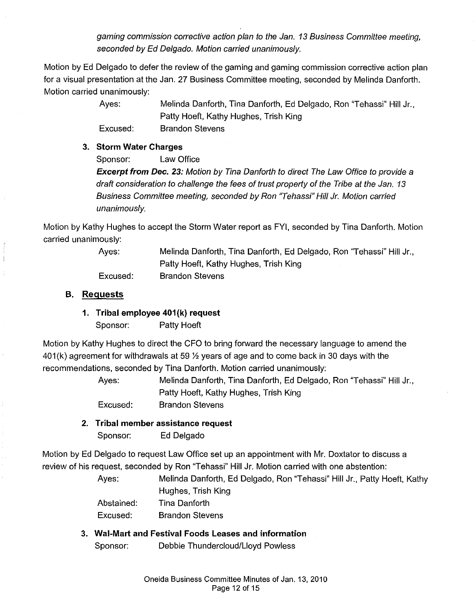gaming commission corrective action plan to the Jan. 13 Business Committee meeting, seconded by Ed Delgado. Motion carried unanimously.

Motion by Ed Delgado to defer the review of the gaming and gaming commission corrective action plan for a visual presentation at the Jan. 27 Business Committee meeting, seconded by Melinda Danforth. Motion carried unanimously:

Ayes:

Excused:

Melinda Danforth, Tina Danforth, Ed Delgado, Ron "Tehassi" Hill Jr., Patty Hoeft, Kathy Hughes, Trish King Brandon Stevens

### **3. Storm Water Charges**

Sponsor: Law Office

**Excerpt from Dec. 23:** Motion by Tina Danforth to direct The Law Office to provide a draft consideration to challenge the fees of trust property of the Tribe at the Jan. 13 Business Committee meeting, seconded by Ron "Tehassi" Hill Jr. Motion carried unanimously.

Motion by Kathy Hughes to accept the Storm Water report as FYI, seconded by Tina Danforth. Motion carried unanimously:

> Ayes: Excused: Melinda Danforth, Tina Danforth, Ed Delgado, Ron 'Tehassi" Hill Jr., Patty Hoeft, Kathy Hughes, Trish King Brandon Stevens

### **B. Requests**

### **1. Tribal employee 401{k) request**

Sponsor: Patty Hoeft

Motion by Kathy Hughes to direct the CFO to bring forward the necessary language to amend the 401 (k) agreement for withdrawals at 59 *Y,* years of age and to come back in 30 days with the recommendations, seconded by Tina Danforth. Motion carried unanimously:

> Ayes: Melinda Danforth, Tina Danforth, Ed Delgado, Ron "Tehassi" Hill Jr., Patty Hoeft, Kathy Hughes, Trish King

Excused: Brandon Stevens

# **2. Tribal member assistance request**

Sponsor: Ed Delgado

Motion by Ed Delgado to request Law Office set up an appointment with Mr. Doxtator to discuss a review of his request, seconded by Ron "Tehassi" Hill Jr. Motion carried with one abstention:

> Ayes: Melinda Danforth, Ed Delgado, Ron "Tehassi" Hill Jr., Patty Hoeft, Kathy Hughes, Trish King

Abstained: Tina Danforth

Excused: Brandon Stevens

# **3. Wai-Mart and Festival Foods Leases and information**

Sponsor: Debbie Thundercloud/Lloyd Powless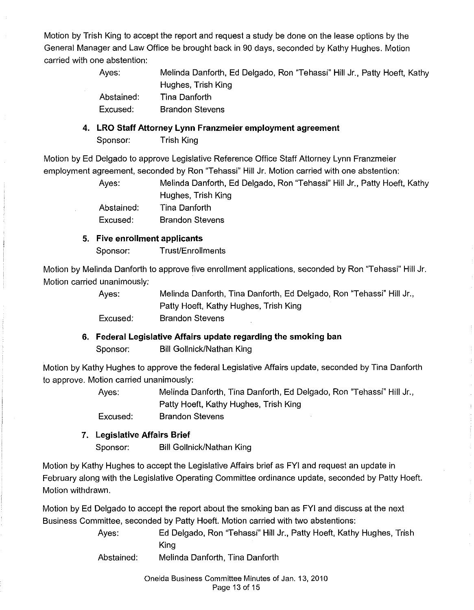Motion by Trish King to accept the report and request a study be done on the lease options by the General Manager and Law Office be brought back in 90 days, seconded by Kathy Hughes. Motion carried with one abstention:

| Aves:      | Melinda Danforth, Ed Delgado, Ron "Tehassi" Hill Jr., Patty Hoeft, Kathy |
|------------|--------------------------------------------------------------------------|
|            | Hughes, Trish King                                                       |
| Abstained: | Tina Danforth                                                            |
| Excused:   | <b>Brandon Stevens</b>                                                   |

**4. LRO Staff Attorney Lynn Franzmeier employment agreement**  Sponsor: Trish King

Motion by Ed Delgado to approve Legislative Reference Office Staff Attorney Lynn Franzmeier employment agreement, seconded by Ron "Tehassi" Hill Jr. Motion carried with one abstention:

> Ayes: Melinda Danforth, Ed Delgado, Ron "Tehassi" Hill Jr., Patty Hoeft, Kathy Hughes, Trish King

Abstained: Excused: Tina Danforth Brandon Stevens

### **5. Five enrollment applicants**

Sponsor: Trust/Enrollments

Motion by Melinda Danforth to approve five enrollment applications, seconded by Ron "Tehassi" Hill Jr. Motion carried unanimously:

> Ayes: Excused: Melinda Danforth, Tina Danforth, Ed Delgado, Ron "Tehassi" Hill Jr., Patty Hoeft, Kathy Hughes, Trish King Brandon Stevens

### **6. Federal Legislative Affairs update regarding the smoking ban**

Sponsor: Bill Gollnick/Nathan King

Motion by Kathy Hughes to approve the federal Legislative Affairs update, seconded by Tina Danforth to approve. Motion carried unanimously:

> Ayes: Melinda Danforth, Tina Danforth, Ed Delgado, Ron 'Tehassi" Hill Jr., Patty Hoeft, Kathy Hughes, Trish King

Excused: Brandon Stevens

### **7. Legislative Affairs Brief**

Sponsor: Bill Gollnick/Nathan King

Motion by Kathy Hughes to accept the Legislative Affairs brief as FYI and request an update in February along with the Legislative Operating Committee ordinance update, seconded by Patty Hoeft. Motion withdrawn.

Motion by Ed Delgado to accept the report about the smoking ban as FYI and discuss at the next Business Committee, seconded by Patty Hoeft. Motion carried with two abstentions:

| Ayes: | Ed Delgado, Ron "Tehassi" Hill Jr., Patty Hoeft, Kathy Hughes, Trish |
|-------|----------------------------------------------------------------------|
|       | Kina                                                                 |
|       |                                                                      |

Abstained: Melinda Danforth, Tina Danforth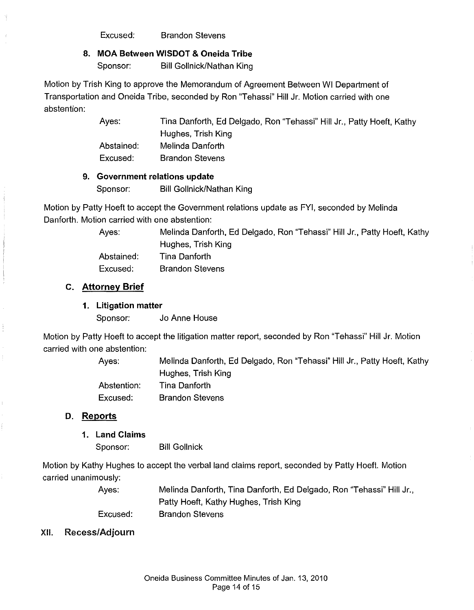Excused: Brandon Stevens

### **8. MOA Between WISDOT & Oneida Tribe**

Sponsor: Bill Gollnick/Nathan King

Motion by Trish King to approve the Memorandum of Agreement Between WI Department of Transportation and Oneida Tribe, seconded by Ron "Tehassi" Hill Jr. Motion carried with one abstention:

> Ayes: Tina Danforth, Ed Delgado, Ron "Tehassi" Hill Jr., Patty Hoeft, Kathy Hughes, Trish King Abstained: Melinda Danforth Excused: Brandon Stevens

#### **9. Government relations update**

Sponsor: Bill Gollnick/Nathan King

Motion by Patty Hoeft to accept the Government relations update as FYI, seconded by Melinda Danforth. Motion carried with one abstention:

Ayes: Melinda Danforth, Ed Delgado, Ron "Tehassi" Hill Jr., Patty Hoeft, Kathy Hughes, Trish King Abstained: Excused: Tina Danforth Brandon Stevens

#### **c. Attorney Brief**

#### **1. Litigation matter**

Sponsor: Jo Anne House

Motion by Patty Hoeft to accept the litigation matter report, seconded by Ron "Tehassi" Hill Jr. Motion carried with one abstention:

> Ayes: Melinda Danforth, Ed Delgado, Ron "Tehassi" Hill Jr., Patty Hoeft, Kathy Hughes, Trish King Abstention: Tina Danforth

Excused: Brandon Stevens

### **D. Reports**

#### **1. Land Claims**

Sponsor: Bill Gollnick

Motion by Kathy Hughes to accept the verbal land claims report, seconded by Patty Hoeft. Motion carried unanimously:

> Ayes: Excused: Melinda Danforth, Tina Danforth, Ed Delgado, Ron "Tehassi" Hill Jr., Patty Hoeft, Kathy Hughes, Trish King Brandon Stevens

#### XII. Recess/Adjourn